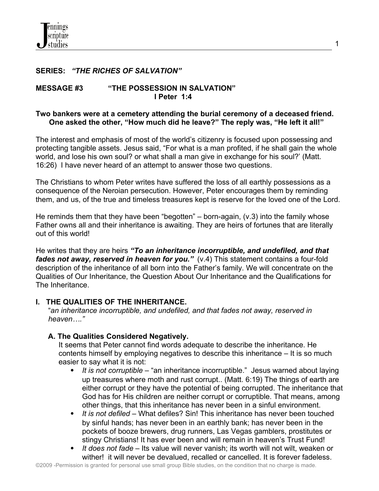### **SERIES:** *"THE RICHES OF SALVATION"*

#### **MESSAGE #3 "THE POSSESSION IN SALVATION" I Peter 1:4**

### **Two bankers were at a cemetery attending the burial ceremony of a deceased friend. One asked the other, "How much did he leave?" The reply was, "He left it all!"**

The interest and emphasis of most of the world's citizenry is focused upon possessing and protecting tangible assets. Jesus said, "For what is a man profited, if he shall gain the whole world, and lose his own soul? or what shall a man give in exchange for his soul?' (Matt. 16:26) I have never heard of an attempt to answer those two questions.

The Christians to whom Peter writes have suffered the loss of all earthly possessions as a consequence of the Neroian persecution. However, Peter encourages them by reminding them, and us, of the true and timeless treasures kept is reserve for the loved one of the Lord.

He reminds them that they have been "begotten" – born-again,  $(v.3)$  into the family whose Father owns all and their inheritance is awaiting. They are heirs of fortunes that are literally out of this world!

He writes that they are heirs *"To an inheritance incorruptible, and undefiled, and that fades not away, reserved in heaven for you.*" (v.4) This statement contains a four-fold description of the inheritance of all born into the Father's family. We will concentrate on the Qualities of Our Inheritance, the Question About Our Inheritance and the Qualifications for The Inheritance.

### **I. THE QUALITIES OF THE INHERITANCE.**

 "*an inheritance incorruptible, and undefiled, and that fades not away, reserved in heaven…."*

### **A. The Qualities Considered Negatively.**

 It seems that Peter cannot find words adequate to describe the inheritance. He contents himself by employing negatives to describe this inheritance – It is so much easier to say what it is not:

- *It is not corruptible* "an inheritance incorruptible." Jesus warned about laying up treasures where moth and rust corrupt.. (Matt. 6:19) The things of earth are either corrupt or they have the potential of being corrupted. The inheritance that God has for His children are neither corrupt or corruptible. That means, among other things, that this inheritance has never been in a sinful environment.
- *It is not defiled* What defiles? Sin! This inheritance has never been touched by sinful hands; has never been in an earthly bank; has never been in the pockets of booze brewers, drug runners, Las Vegas gamblers, prostitutes or stingy Christians! It has ever been and will remain in heaven's Trust Fund!
- *It does not fade* Its value will never vanish; its worth will not wilt, weaken or wither! it will never be devalued, recalled or cancelled. It is forever fadeless.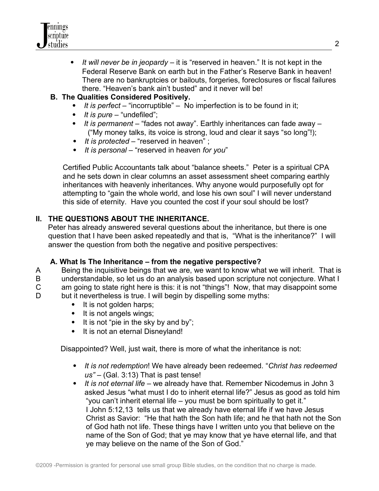

 *It will never be in jeopardy* – it is "reserved in heaven." It is not kept in the Federal Reserve Bank on earth but in the Father's Reserve Bank in heaven! There are no bankruptcies or bailouts, forgeries, foreclosures or fiscal failures there. "Heaven's bank ain't busted" and it never will be!

## **B. The Qualities Considered Positively.**

- *It is perfect* "incorruptible" No imperfection is to be found in it;
- *It is pure* "undefiled";
- *It is permanent* "fades not away". Earthly inheritances can fade away ("My money talks, its voice is strong, loud and clear it says "so long"!);
- *It is protected* "reserved in heaven" ;
- *It is personal* "reserved in heaven *for you*"

 Certified Public Accountants talk about "balance sheets." Peter is a spiritual CPA and he sets down in clear columns an asset assessment sheet comparing earthly inheritances with heavenly inheritances. Why anyone would purposefully opt for attempting to "gain the whole world, and lose his own soul" I will never understand this side of eternity. Have you counted the cost if your soul should be lost?

# **II. THE QUESTIONS ABOUT THE INHERITANCE.**

Peter has already answered several questions about the inheritance, but there is one question that I have been asked repeatedly and that is, "What is the inheritance?" I will answer the question from both the negative and positive perspectives:

# **A. What Is The Inheritance – from the negative perspective?**

A Being the inquisitive beings that we are, we want to know what we will inherit. That is B understandable, so let us do an analysis based upon scripture not conjecture. What I C am going to state right here is this: it is not "things"! Now, that may disappoint some D but it nevertheless is true. I will begin by dispelling some myths:

- It is not golden harps;
- It is not angels wings;
- $\bullet$  It is not "pie in the sky by and by";
- It is not an eternal Disneyland!

Disappointed? Well, just wait, there is more of what the inheritance is not:

- *It is not redemption*! We have already been redeemed. "*Christ has redeemed us"* – (Gal. 3:13) That is past tense!
- *It is not eternal life* we already have that. Remember Nicodemus in John 3 asked Jesus "what must I do to inherit eternal life?" Jesus as good as told him "you can't inherit eternal life – you must be born spiritually to get it." I John 5:12,13 tells us that we already have eternal life if we have Jesus Christ as Savior: "He that hath the Son hath life; and he that hath not the Son of God hath not life. These things have I written unto you that believe on the name of the Son of God; that ye may know that ye have eternal life, and that ye may believe on the name of the Son of God."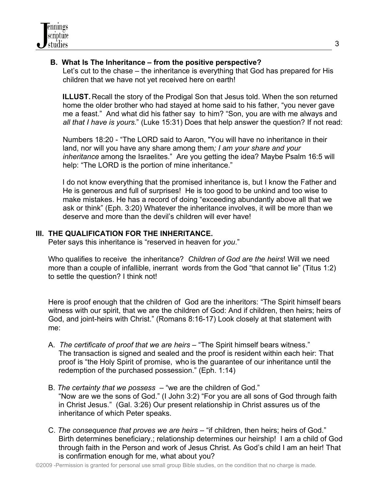## **B. What Is The Inheritance – from the positive perspective?**

 Let's cut to the chase – the inheritance is everything that God has prepared for His children that we have not yet received here on earth!

 **ILLUST.** Recall the story of the Prodigal Son that Jesus told. When the son returned home the older brother who had stayed at home said to his father, "you never gave me a feast." And what did his father say to him? "Son, you are with me always and  *all that I have is yours*." (Luke 15:31) Does that help answer the question? If not read:

 Numbers 18:20 - "The LORD said to Aaron, "You will have no inheritance in their land, nor will you have any share among them*; I am your share and your inheritance* among the Israelites." Are you getting the idea? Maybe Psalm 16:5 will help: "The LORD is the portion of mine inheritance."

I do not know everything that the promised inheritance is, but I know the Father and He is generous and full of surprises! He is too good to be unkind and too wise to make mistakes. He has a record of doing "exceeding abundantly above all that we ask or think" (Eph. 3:20) Whatever the inheritance involves, it will be more than we deserve and more than the devil's children will ever have!

## **III. THE QUALIFICATION FOR THE INHERITANCE.**

Peter says this inheritance is "reserved in heaven for *you*."

 Who qualifies to receive the inheritance? *Children of God are the heirs*! Will we need more than a couple of infallible, inerrant words from the God "that cannot lie" (Titus 1:2) to settle the question? I think not!

 Here is proof enough that the children of God are the inheritors: "The Spirit himself bears witness with our spirit, that we are the children of God: And if children, then heirs; heirs of God, and joint-heirs with Christ." (Romans 8:16-17) Look closely at that statement with me:

- A. *The certificate of proof that we are heirs* "The Spirit himself bears witness." The transaction is signed and sealed and the proof is resident within each heir: That proof is "the Holy Spirit of promise, who is the guarantee of our inheritance until the redemption of the purchased possession." (Eph. 1:14)
- B. *The certainty that we possess* "we are the children of God." "Now are we the sons of God." (I John 3:2) "For you are all sons of God through faith in Christ Jesus." (Gal. 3:26) Our present relationship in Christ assures us of the inheritance of which Peter speaks.
- C. *The consequence that proves we are heirs* "if children, then heirs; heirs of God." Birth determines beneficiary.; relationship determines our heirship! I am a child of God through faith in the Person and work of Jesus Christ. As God's child I am an heir! That is confirmation enough for me, what about you?

3